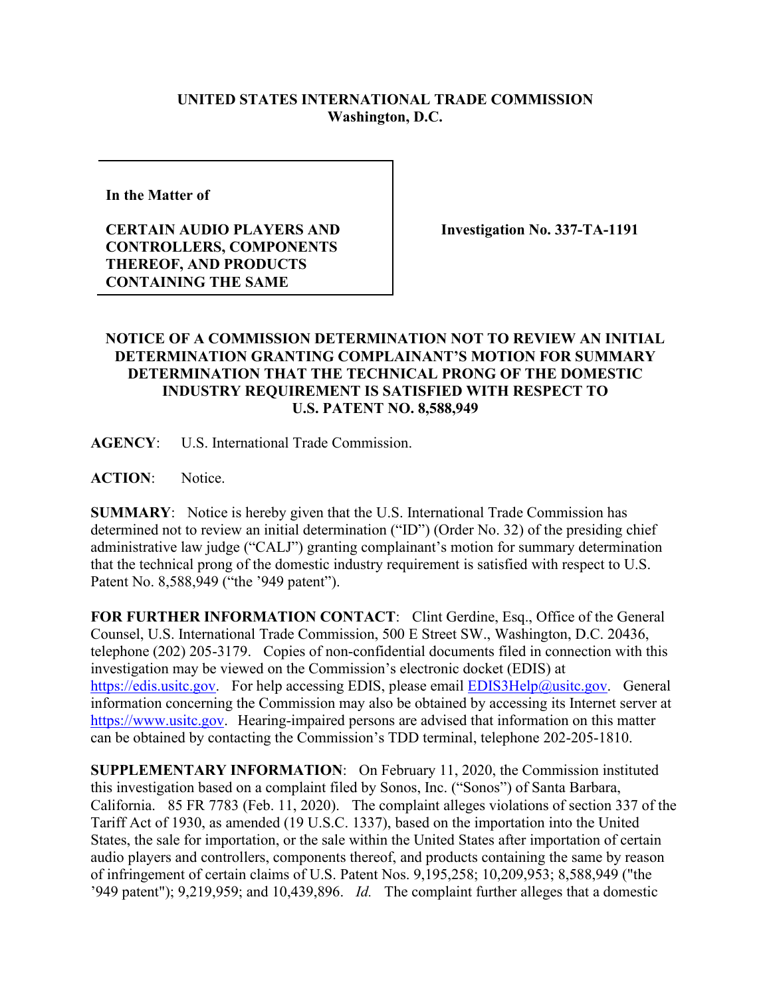## **UNITED STATES INTERNATIONAL TRADE COMMISSION Washington, D.C.**

**In the Matter of** 

**CERTAIN AUDIO PLAYERS AND CONTROLLERS, COMPONENTS THEREOF, AND PRODUCTS CONTAINING THE SAME**

**Investigation No. 337-TA-1191**

## **NOTICE OF A COMMISSION DETERMINATION NOT TO REVIEW AN INITIAL DETERMINATION GRANTING COMPLAINANT'S MOTION FOR SUMMARY DETERMINATION THAT THE TECHNICAL PRONG OF THE DOMESTIC INDUSTRY REQUIREMENT IS SATISFIED WITH RESPECT TO U.S. PATENT NO. 8,588,949**

**AGENCY**: U.S. International Trade Commission.

**ACTION**: Notice.

**SUMMARY**: Notice is hereby given that the U.S. International Trade Commission has determined not to review an initial determination ("ID") (Order No. 32) of the presiding chief administrative law judge ("CALJ") granting complainant's motion for summary determination that the technical prong of the domestic industry requirement is satisfied with respect to U.S. Patent No. 8,588,949 ("the '949 patent").

FOR FURTHER INFORMATION CONTACT: Clint Gerdine, Esq., Office of the General Counsel, U.S. International Trade Commission, 500 E Street SW., Washington, D.C. 20436, telephone (202) 205-3179. Copies of non-confidential documents filed in connection with this investigation may be viewed on the Commission's electronic docket (EDIS) at [https://edis.usitc.gov.](https://edis.usitc.gov/) For help accessing EDIS, please email [EDIS3Help@usitc.gov.](mailto:EDIS3Help@usitc.gov) General information concerning the Commission may also be obtained by accessing its Internet server at [https://www.usitc.gov.](https://www.usitc.gov/) Hearing-impaired persons are advised that information on this matter can be obtained by contacting the Commission's TDD terminal, telephone 202-205-1810.

**SUPPLEMENTARY INFORMATION**: On February 11, 2020, the Commission instituted this investigation based on a complaint filed by Sonos, Inc. ("Sonos") of Santa Barbara, California. 85 FR 7783 (Feb. 11, 2020). The complaint alleges violations of section 337 of the Tariff Act of 1930, as amended (19 U.S.C. 1337), based on the importation into the United States, the sale for importation, or the sale within the United States after importation of certain audio players and controllers, components thereof, and products containing the same by reason of infringement of certain claims of U.S. Patent Nos. 9,195,258; 10,209,953; 8,588,949 ("the '949 patent"); 9,219,959; and 10,439,896. *Id.* The complaint further alleges that a domestic